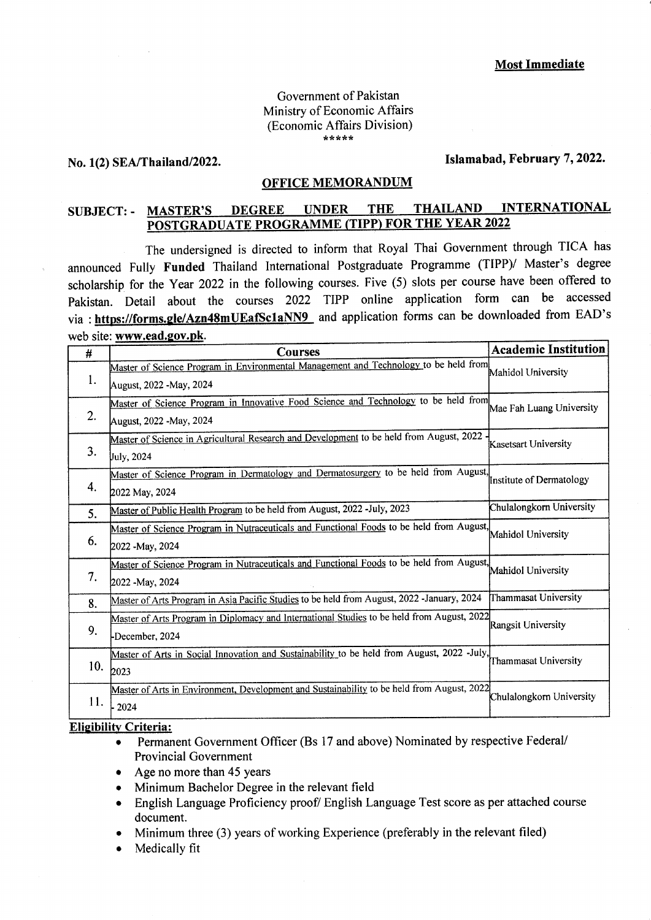#### Government of Pakistan Ministry of Economic Affairs (Economic Affairs Division) ,r rt ,( :l rr

### No. 1(2) SEA/Thailand/2022.

## Islamabad, February 7, 2022.

## OFFICE MEMORANDUM

# SUBJECT: - MASTER'S DEGREE UNDER THE THAILAND INTERNATIONAL POSTGRADUATE PROGRAMME (TIPP) FOR THE YEAR 2022

The undersigned is directed to inform that Royal Thai Government through TICA has announced Fully Funded Thailand International Postgraduate Programme (TIPP)/ Master's degree scholarship for the year 2022 in the following courses. Five (5) slots per course have been offered to pakistan. Detail about the courses 2022 TIPP online application form can be accessed via : https://forms.gle/Azn48mUEafSc1aNN9 and application forms can be downloaded from EAD's web site: www.ead.gov.pk.

| #   | <b>Courses</b>                                                                             | <b>Academic Institution</b> |
|-----|--------------------------------------------------------------------------------------------|-----------------------------|
| l.  | Master of Science Program in Environmental Management and Technology to be held from       | Mahidol University          |
|     | August, 2022 -May, 2024                                                                    |                             |
| 2.  | Master of Science Program in Innovative Food Science and Technology to be held from        | Mae Fah Luang University    |
|     | August, 2022 -May, 2024                                                                    |                             |
| 3.  | Master of Science in Agricultural Research and Development to be held from August, 2022    | Kasetsart University        |
|     | July, 2024                                                                                 |                             |
| 4.  | Master of Science Program in Dermatology and Dermatosurgery to be held from August,        | Institute of Dermatology    |
|     | 2022 May, 2024                                                                             |                             |
| 5.  | Master of Public Health Program to be held from August, 2022 -July, 2023                   | Chulalongkorn University    |
| 6.  | Master of Science Program in Nutraceuticals and Functional Foods to be held from August,   | Mahidol University          |
|     | 2022 - May, 2024                                                                           |                             |
| 7.  | Master of Science Program in Nutraceuticals and Functional Foods to be held from August,   | Mahidol University          |
|     | 2022 -May, 2024                                                                            |                             |
| 8.  | Master of Arts Program in Asia Pacific Studies to be held from August, 2022 -January, 2024 | Thammasat University        |
| 9.  | Master of Arts Program in Diplomacy and International Studies to be held from August, 2022 | Rangsit University          |
|     | December, 2024                                                                             |                             |
| 10. | Master of Arts in Social Innovation and Sustainability to be held from August, 2022 -July, | Thammasat University        |
|     | 2023                                                                                       |                             |
| 11. | Master of Arts in Environment, Development and Sustainability to be held from August, 2022 | Chulalongkorn University    |
|     | 2024                                                                                       |                             |

#### Elisibilitv Criteria:

- Permanent Government Officer (Bs 17 and above) Nominated by respective Federal/ Provincial Government
- Age no more than 45 years
- o Minimum Bachelor Degree in the relevant field
- o English Language Proficiency proof/ English Language Test score as per attached course document.
- Minimum three  $(3)$  years of working Experience (preferably in the relevant filed)
- Medically fit